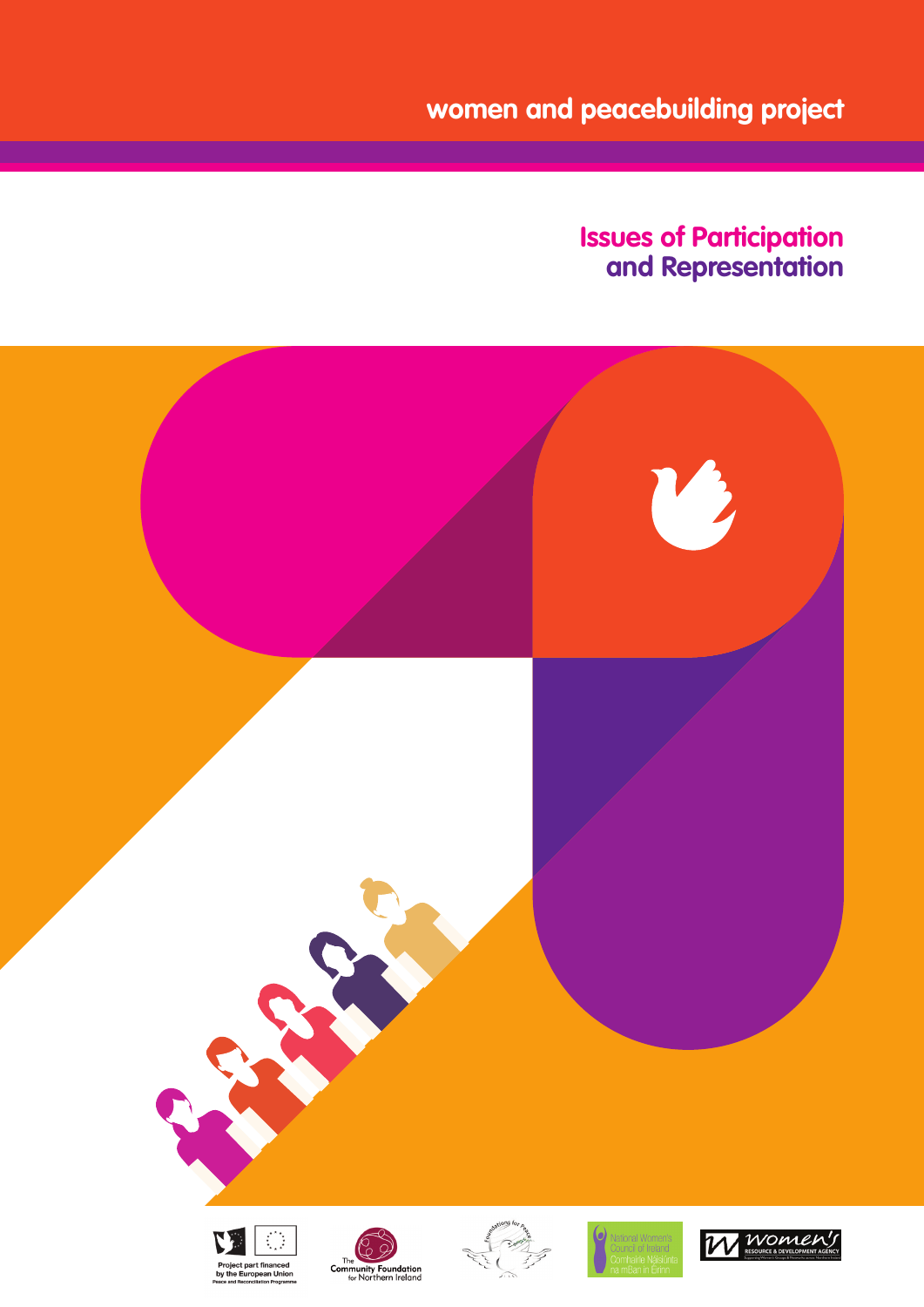**women and peacebuilding project**

# **Issues of Participation and Representation**

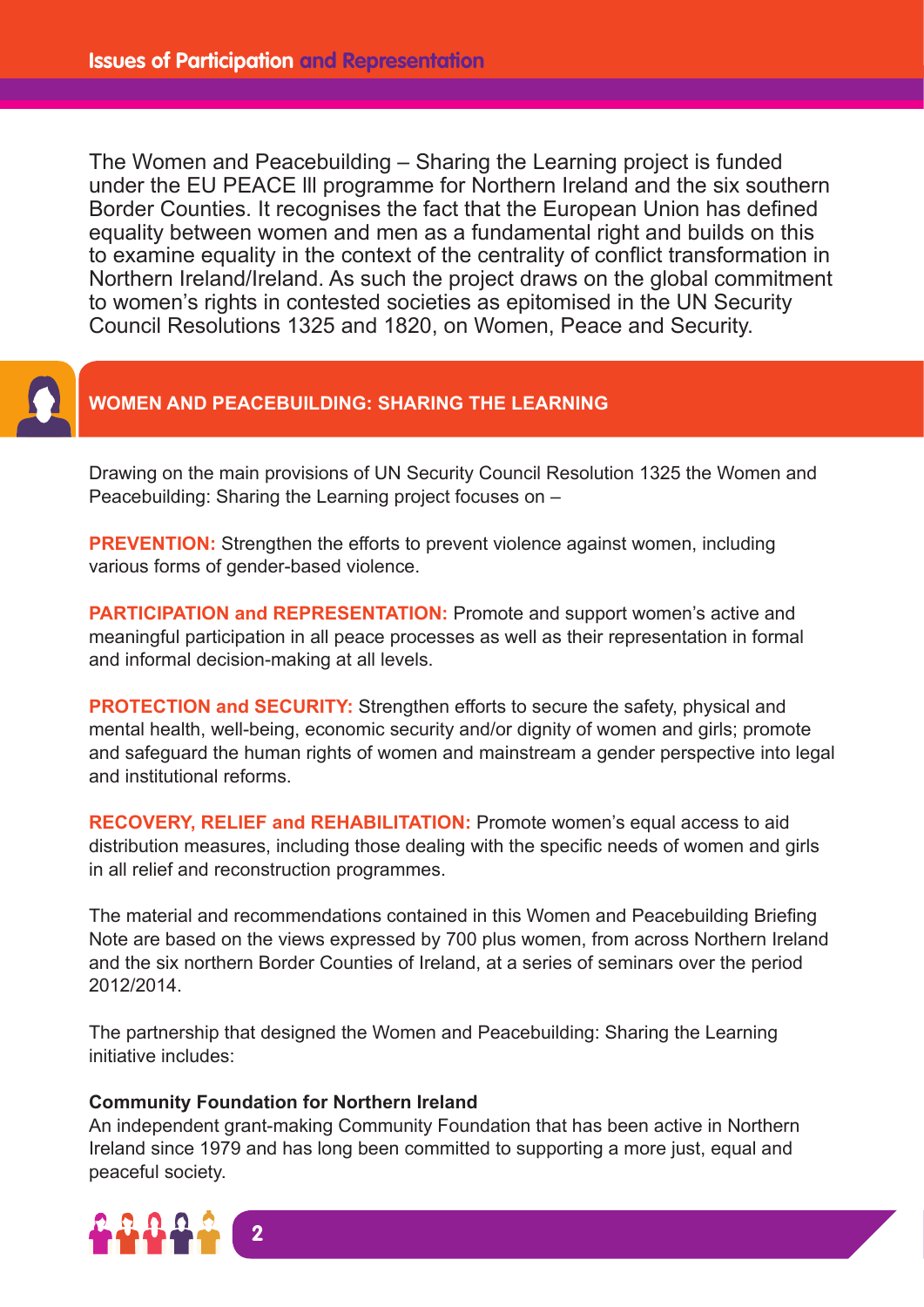The Women and Peacebuilding – Sharing the Learning project is funded under the EU PEACE lll programme for Northern Ireland and the six southern Border Counties. It recognises the fact that the European Union has defined equality between women and men as a fundamental right and builds on this to examine equality in the context of the centrality of conflict transformation in Northern Ireland/Ireland. As such the project draws on the global commitment to women's rights in contested societies as epitomised in the UN Security Council Resolutions 1325 and 1820, on Women, Peace and Security.



### **WOMEN AND PEACEBUILDING: SHARING THE LEARNING**

Drawing on the main provisions of UN Security Council Resolution 1325 the Women and Peacebuilding: Sharing the Learning project focuses on –

**PREVENTION:** Strengthen the efforts to prevent violence against women, including various forms of gender-based violence.

**PARTICIPATION and REPRESENTATION:** Promote and support women's active and meaningful participation in all peace processes as well as their representation in formal and informal decision-making at all levels.

**PROTECTION and SECURITY:** Strengthen efforts to secure the safety, physical and mental health, well-being, economic security and/or dignity of women and girls; promote and safeguard the human rights of women and mainstream a gender perspective into legal and institutional reforms.

**RECOVERY, RELIEF and REHABILITATION:** Promote women's equal access to aid distribution measures, including those dealing with the specific needs of women and girls in all relief and reconstruction programmes.

The material and recommendations contained in this Women and Peacebuilding Briefing Note are based on the views expressed by 700 plus women, from across Northern Ireland and the six northern Border Counties of Ireland, at a series of seminars over the period 2012/2014.

The partnership that designed the Women and Peacebuilding: Sharing the Learning initiative includes:

#### **Community Foundation for Northern Ireland**

An independent grant-making Community Foundation that has been active in Northern Ireland since 1979 and has long been committed to supporting a more just, equal and peaceful society.

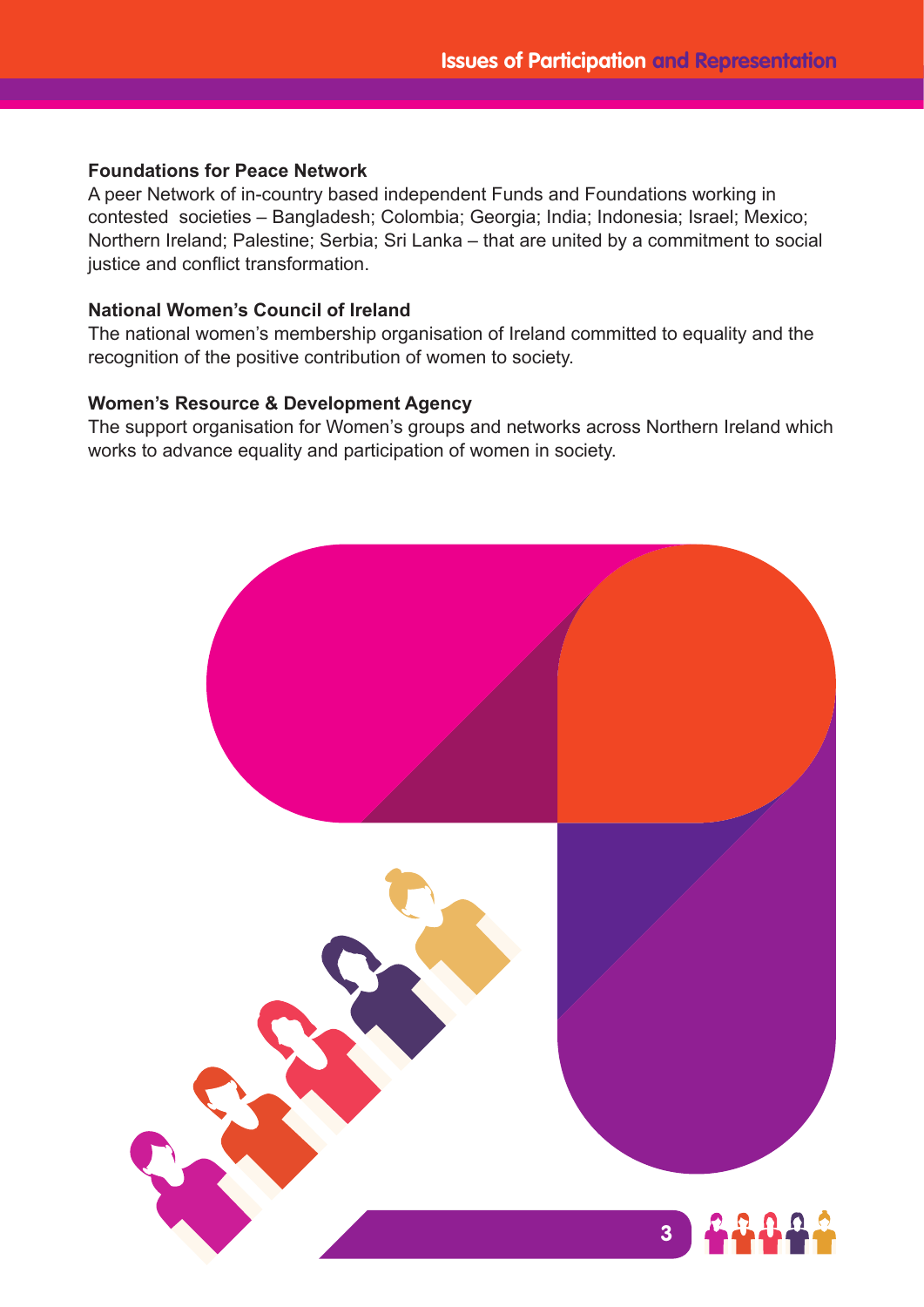#### **Foundations for Peace Network**

A peer Network of in-country based independent Funds and Foundations working in contested societies – Bangladesh; Colombia; Georgia; India; Indonesia; Israel; Mexico; Northern Ireland; Palestine; Serbia; Sri Lanka – that are united by a commitment to social justice and conflict transformation.

#### **National Women's Council of Ireland**

The national women's membership organisation of Ireland committed to equality and the recognition of the positive contribution of women to society.

#### **Women's Resource & Development Agency**

The support organisation for Women's groups and networks across Northern Ireland which works to advance equality and participation of women in society.

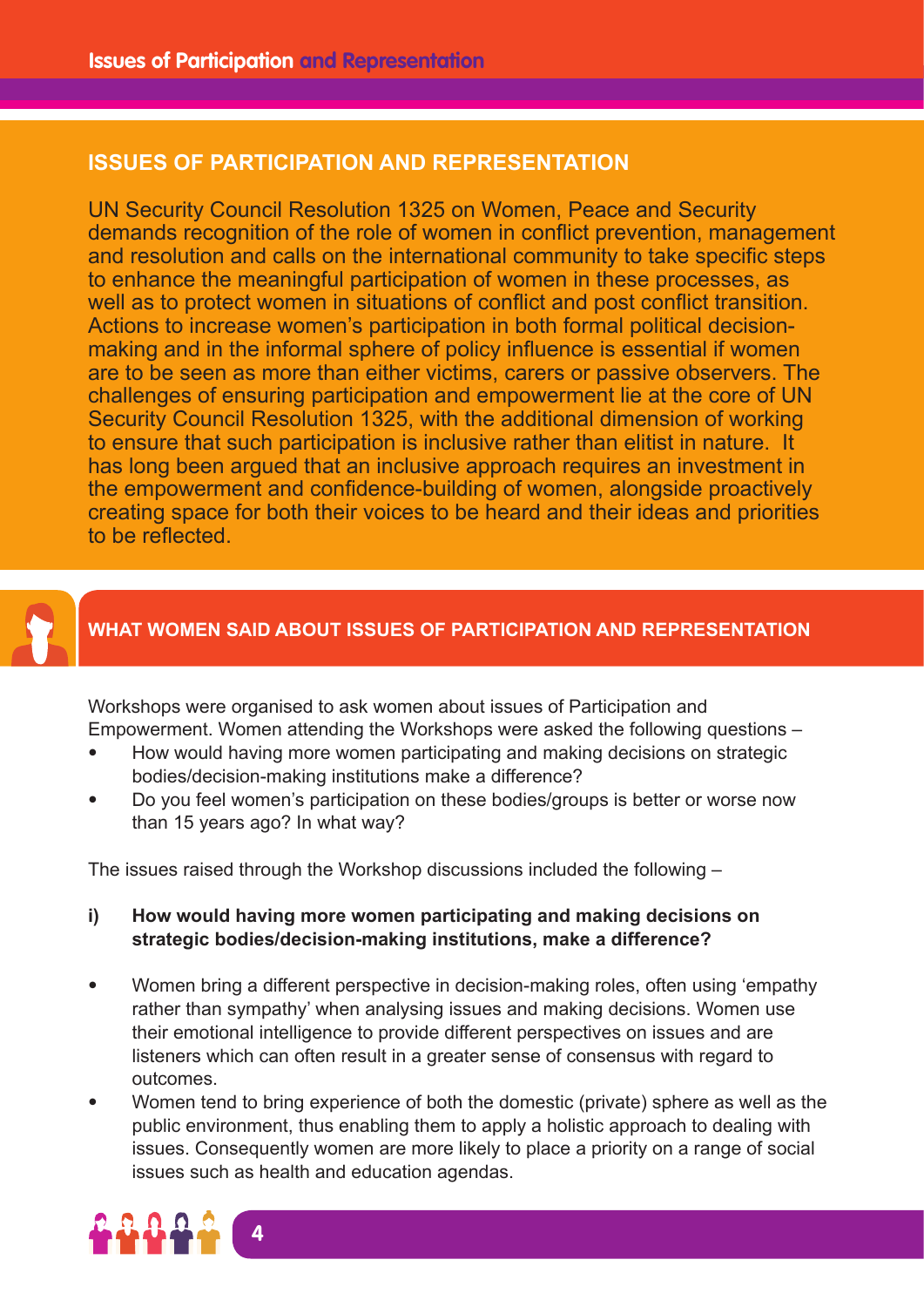### **ISSUES OF PARTICIPATION AND REPRESENTATION**

UN Security Council Resolution 1325 on Women, Peace and Security demands recognition of the role of women in conflict prevention, management and resolution and calls on the international community to take specific steps to enhance the meaningful participation of women in these processes, as well as to protect women in situations of conflict and post conflict transition. Actions to increase women's participation in both formal political decisionmaking and in the informal sphere of policy influence is essential if women are to be seen as more than either victims, carers or passive observers. The challenges of ensuring participation and empowerment lie at the core of UN Security Council Resolution 1325, with the additional dimension of working to ensure that such participation is inclusive rather than elitist in nature. It has long been argued that an inclusive approach requires an investment in the empowerment and confidence-building of women, alongside proactively creating space for both their voices to be heard and their ideas and priorities to be reflected.



### **WHAT WOMEN SAID ABOUT ISSUES OF PARTICIPATION AND REPRESENTATION**

Workshops were organised to ask women about issues of Participation and Empowerment. Women attending the Workshops were asked the following questions –

- How would having more women participating and making decisions on strategic bodies/decision-making institutions make a difference?
- Do you feel women's participation on these bodies/groups is better or worse now than 15 years ago? In what way?

The issues raised through the Workshop discussions included the following –

- **i) How would having more women participating and making decisions on strategic bodies/decision-making institutions, make a difference?**
- Women bring a different perspective in decision-making roles, often using 'empathy rather than sympathy' when analysing issues and making decisions. Women use their emotional intelligence to provide different perspectives on issues and are listeners which can often result in a greater sense of consensus with regard to outcomes.
- Women tend to bring experience of both the domestic (private) sphere as well as the public environment, thus enabling them to apply a holistic approach to dealing with issues. Consequently women are more likely to place a priority on a range of social issues such as health and education agendas.

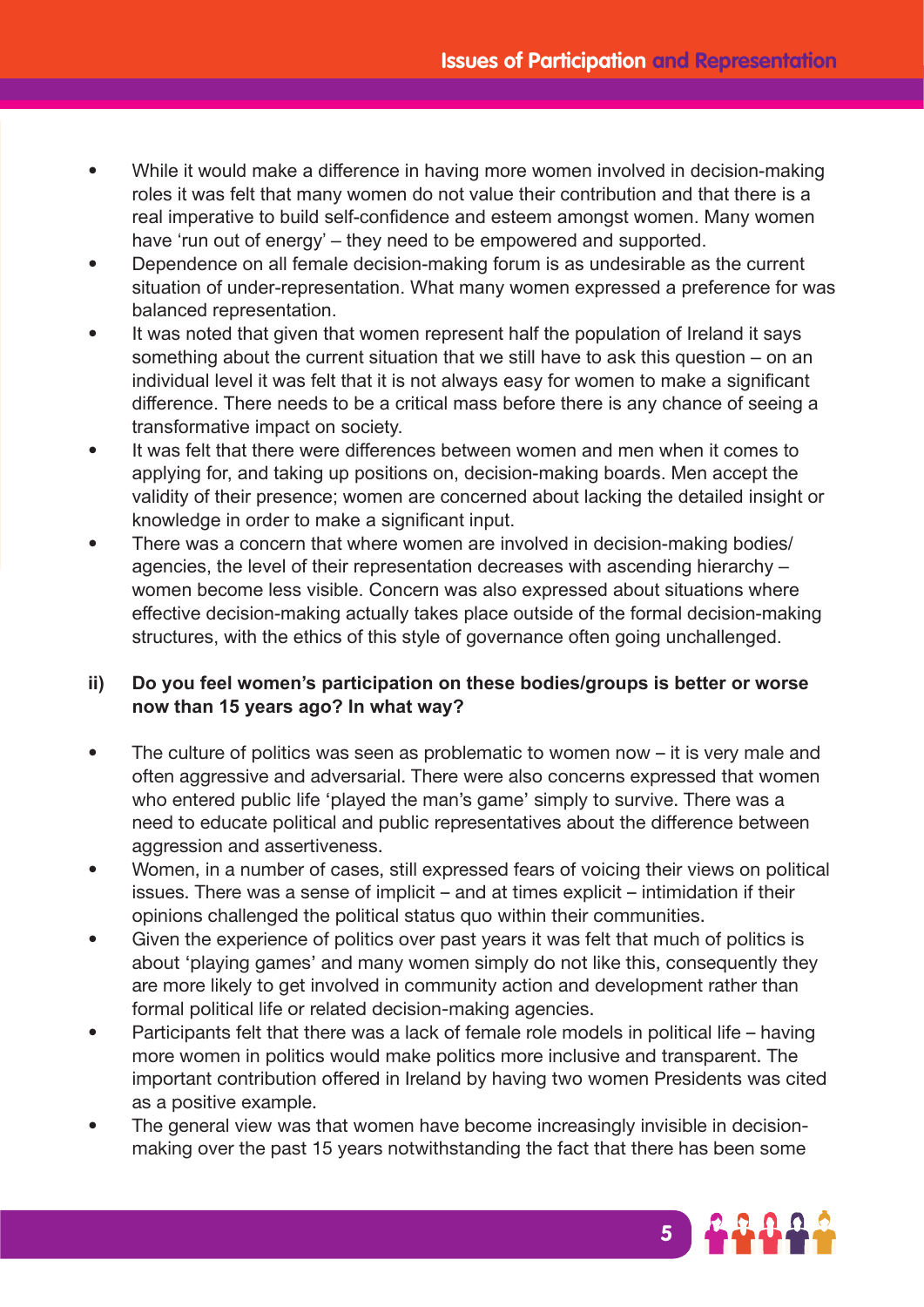- While it would make a difference in having more women involved in decision-making roles it was felt that many women do not value their contribution and that there is a real imperative to build self-confidence and esteem amongst women. Many women have 'run out of energy' – they need to be empowered and supported.
- Dependence on all female decision-making forum is as undesirable as the current situation of under-representation. What many women expressed a preference for was balanced representation.
- It was noted that given that women represent half the population of Ireland it says something about the current situation that we still have to ask this question – on an individual level it was felt that it is not always easy for women to make a significant difference. There needs to be a critical mass before there is any chance of seeing a transformative impact on society.
- It was felt that there were differences between women and men when it comes to applying for, and taking up positions on, decision-making boards. Men accept the validity of their presence; women are concerned about lacking the detailed insight or knowledge in order to make a significant input.
- There was a concern that where women are involved in decision-making bodies/ agencies, the level of their representation decreases with ascending hierarchy – women become less visible. Concern was also expressed about situations where effective decision-making actually takes place outside of the formal decision-making structures, with the ethics of this style of governance often going unchallenged.

### **ii) Do you feel women's participation on these bodies/groups is better or worse now than 15 years ago? In what way?**

- The culture of politics was seen as problematic to women now it is very male and often aggressive and adversarial. There were also concerns expressed that women who entered public life 'played the man's game' simply to survive. There was a need to educate political and public representatives about the difference between aggression and assertiveness.
- Women, in a number of cases, still expressed fears of voicing their views on political issues. There was a sense of implicit – and at times explicit – intimidation if their opinions challenged the political status quo within their communities.
- Given the experience of politics over past years it was felt that much of politics is about 'playing games' and many women simply do not like this, consequently they are more likely to get involved in community action and development rather than formal political life or related decision-making agencies.
- Participants felt that there was a lack of female role models in political life having more women in politics would make politics more inclusive and transparent. The important contribution offered in Ireland by having two women Presidents was cited as a positive example.
- The general view was that women have become increasingly invisible in decisionmaking over the past 15 years notwithstanding the fact that there has been some

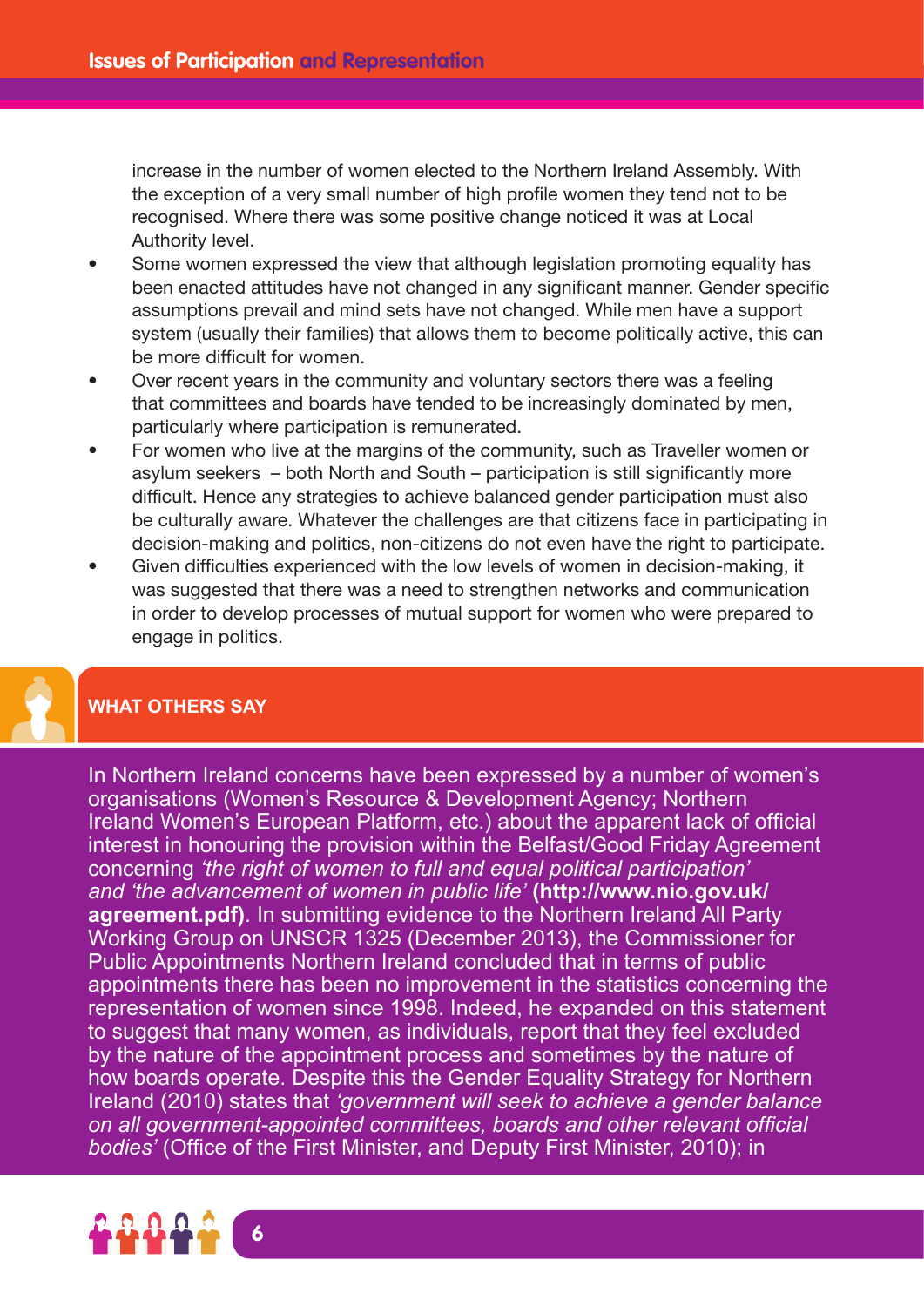increase in the number of women elected to the Northern Ireland Assembly. With the exception of a very small number of high profile women they tend not to be recognised. Where there was some positive change noticed it was at Local Authority level.

- Some women expressed the view that although legislation promoting equality has been enacted attitudes have not changed in any significant manner. Gender specific assumptions prevail and mind sets have not changed. While men have a support system (usually their families) that allows them to become politically active, this can be more difficult for women.
- Over recent years in the community and voluntary sectors there was a feeling that committees and boards have tended to be increasingly dominated by men, particularly where participation is remunerated.
- For women who live at the margins of the community, such as Traveller women or asylum seekers – both North and South – participation is still significantly more difficult. Hence any strategies to achieve balanced gender participation must also be culturally aware. Whatever the challenges are that citizens face in participating in decision-making and politics, non-citizens do not even have the right to participate.
- Given difficulties experienced with the low levels of women in decision-making, it was suggested that there was a need to strengthen networks and communication in order to develop processes of mutual support for women who were prepared to engage in politics.

### **WHAT OTHERS SAY**

In Northern Ireland concerns have been expressed by a number of women's organisations (Women's Resource & Development Agency; Northern Ireland Women's European Platform, etc.) about the apparent lack of official interest in honouring the provision within the Belfast/Good Friday Agreement concerning *'the right of women to full and equal political participation' and 'the advancement of women in public life'* **(http://www.nio.gov.uk/ agreement.pdf)**. In submitting evidence to the Northern Ireland All Party Working Group on UNSCR 1325 (December 2013), the Commissioner for Public Appointments Northern Ireland concluded that in terms of public appointments there has been no improvement in the statistics concerning the representation of women since 1998. Indeed, he expanded on this statement to suggest that many women, as individuals, report that they feel excluded by the nature of the appointment process and sometimes by the nature of how boards operate. Despite this the Gender Equality Strategy for Northern Ireland (2010) states that *'government will seek to achieve a gender balance on all government-appointed committees, boards and other relevant official bodies'* (Office of the First Minister, and Deputy First Minister, 2010); in

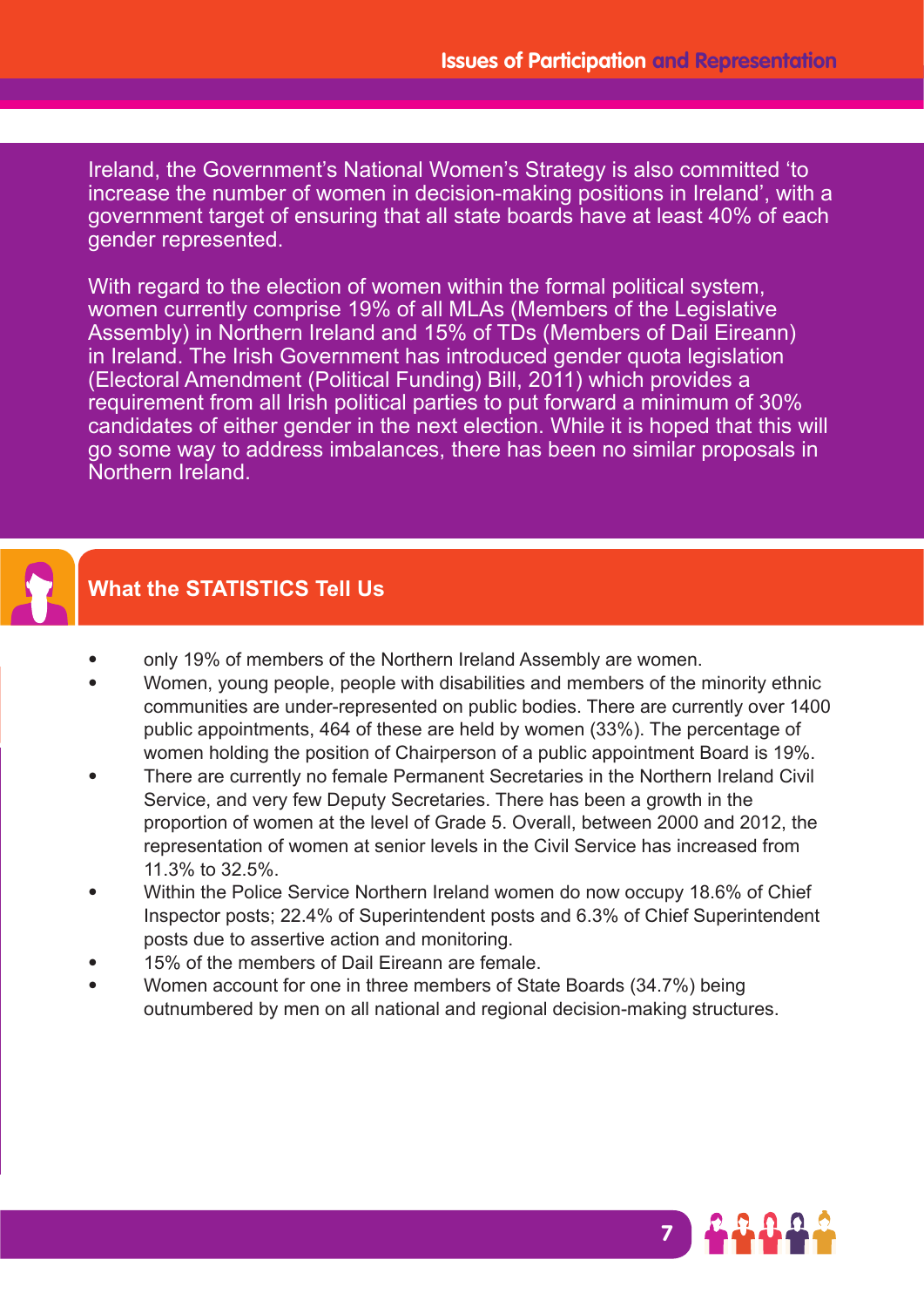Ireland, the Government's National Women's Strategy is also committed 'to increase the number of women in decision-making positions in Ireland', with a government target of ensuring that all state boards have at least 40% of each gender represented.

With regard to the election of women within the formal political system. women currently comprise 19% of all MLAs (Members of the Legislative Assembly) in Northern Ireland and 15% of TDs (Members of Dail Eireann) in Ireland. The Irish Government has introduced gender quota legislation (Electoral Amendment (Political Funding) Bill, 2011) which provides a requirement from all Irish political parties to put forward a minimum of 30% candidates of either gender in the next election. While it is hoped that this will go some way to address imbalances, there has been no similar proposals in Northern Ireland.



# **What the STATISTICS Tell Us**

- only 19% of members of the Northern Ireland Assembly are women.
- Women, young people, people with disabilities and members of the minority ethnic communities are under-represented on public bodies. There are currently over 1400 public appointments, 464 of these are held by women (33%). The percentage of women holding the position of Chairperson of a public appointment Board is 19%.
- There are currently no female Permanent Secretaries in the Northern Ireland Civil Service, and very few Deputy Secretaries. There has been a growth in the proportion of women at the level of Grade 5. Overall, between 2000 and 2012, the representation of women at senior levels in the Civil Service has increased from 11.3% to 32.5%.
- Within the Police Service Northern Ireland women do now occupy 18.6% of Chief Inspector posts; 22.4% of Superintendent posts and 6.3% of Chief Superintendent posts due to assertive action and monitoring.
- 15% of the members of Dail Eireann are female.
- Women account for one in three members of State Boards (34.7%) being outnumbered by men on all national and regional decision-making structures.